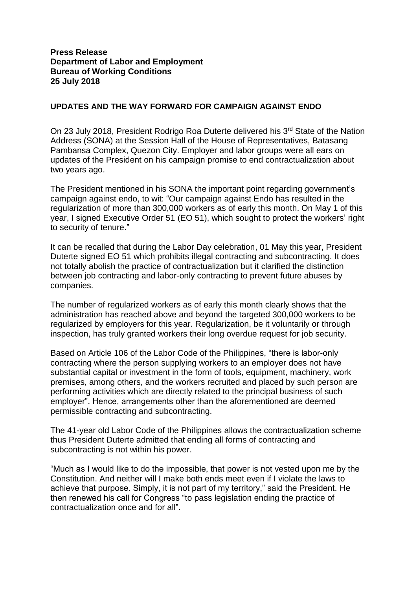## **Press Release Department of Labor and Employment Bureau of Working Conditions 25 July 2018**

## **UPDATES AND THE WAY FORWARD FOR CAMPAIGN AGAINST ENDO**

On 23 July 2018, President Rodrigo Roa Duterte delivered his 3<sup>rd</sup> State of the Nation Address (SONA) at the Session Hall of the House of Representatives, Batasang Pambansa Complex, Quezon City. Employer and labor groups were all ears on updates of the President on his campaign promise to end contractualization about two years ago.

The President mentioned in his SONA the important point regarding government's campaign against endo, to wit: "Our campaign against Endo has resulted in the regularization of more than 300,000 workers as of early this month. On May 1 of this year, I signed Executive Order 51 (EO 51), which sought to protect the workers' right to security of tenure."

It can be recalled that during the Labor Day celebration, 01 May this year, President Duterte signed EO 51 which prohibits illegal contracting and subcontracting. It does not totally abolish the practice of contractualization but it clarified the distinction between job contracting and labor-only contracting to prevent future abuses by companies.

The number of regularized workers as of early this month clearly shows that the administration has reached above and beyond the targeted 300,000 workers to be regularized by employers for this year. Regularization, be it voluntarily or through inspection, has truly granted workers their long overdue request for job security.

Based on Article 106 of the Labor Code of the Philippines, "there is labor-only contracting where the person supplying workers to an employer does not have substantial capital or investment in the form of tools, equipment, machinery, work premises, among others, and the workers recruited and placed by such person are performing activities which are directly related to the principal business of such employer". Hence, arrangements other than the aforementioned are deemed permissible contracting and subcontracting.

The 41-year old Labor Code of the Philippines allows the contractualization scheme thus President Duterte admitted that ending all forms of contracting and subcontracting is not within his power.

"Much as I would like to do the impossible, that power is not vested upon me by the Constitution. And neither will I make both ends meet even if I violate the laws to achieve that purpose. Simply, it is not part of my territory," said the President. He then renewed his call for Congress "to pass legislation ending the practice of contractualization once and for all".